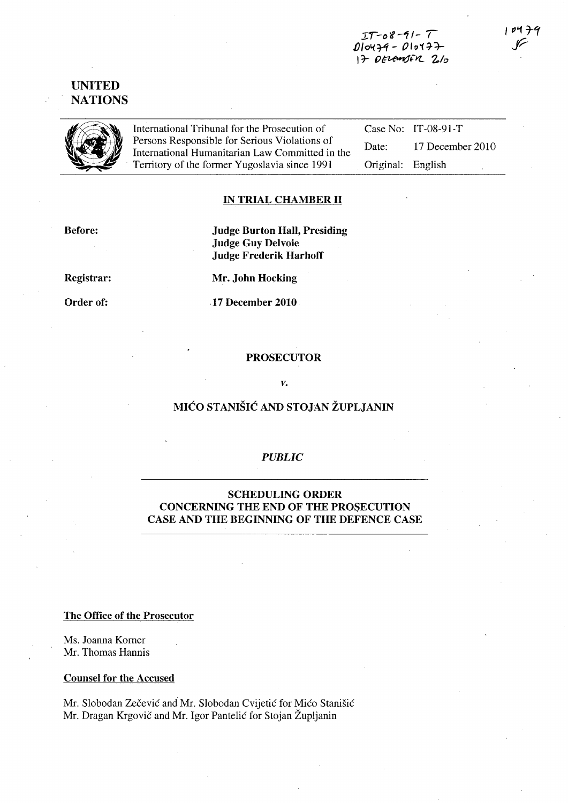:r:t *-ot-11- T*   $DIOY+9 - DIOY+7+$  $17$  DELEWOER  $2/0$ 

UNITED **NATIONS** 



International Tribunal for the Prosecution of<br>Persons Responsible for Serious Violations of<br>International Humanitarian Law Committed international Humanitarian Law Committed international Serious Serious Serious Serious Se Persons Responsible for Serious Violations of International Humanitarian Law Committed in the Territory of the former Yugoslavia since 1991

Case No: IT-08-91-T Date: 17 December 2010 Original: English

### **IN TRIAL CHAMBER II**

Before:

Judge Burton Hall, Presiding Judge Guy Delvoie Judge Frederik HarhofT

Registrar:

Order of:

Mr. John Hocking

17 December 2010

## PROSECUTOR

#### *v.*

# MICO STANISIC AND STOJAN ZUPLJANIN

### *PUBLIC*

## SCHEDULING ORDER CONCERNING THE END OF THE PROSECUTION CASE AND THE BEGINNING OF THE DEFENCE CASE

#### The Office of the Prosecutor

Ms. Joanna Korner Mr. Thomas Hannis

#### Counsel for the Accused

Mr. Slobodan Zečević and Mr. Slobodan Cyijetić for Mićo Stanišić Mr. Dragan Krgovic and Mr. Igor Pantelic for Stojan Zupljanin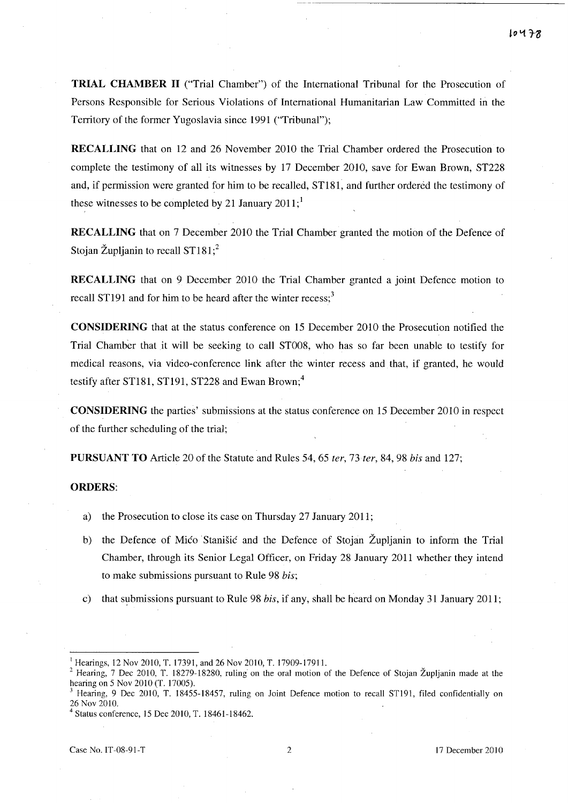**TRIAL CHAMBER 11** ("Trial Chamber") of the International Tribunal for the Prosecution of Persons Responsible for Serious Violations of International Humanitarian Law Committed in the Territory of the former Yugoslavia since 1991 ("Tribunal");

**RECALLING** that on 12 and 26 November 2010 the Trial Chamber ordered the Prosecution to complete the testimony of all its witnesses by 17 December 2010, save for Ewan Brown, ST228 and, if permission were granted for him to be recalled, ST181, and further ordered the testimony of these witnesses to be completed by 21 January  $2011$ ;<sup>1</sup>

**RECALLING** that on 7 December 2010 the Trial Chamber granted the motion of the Defence of Stojan Župljanin to recall  $ST181$ ;<sup>2</sup>

**RECALLING** that on 9 December 2010 the Trial Chamber granted a joint Defence motion to recall ST191 and for him to be heard after the winter recess; $3$ 

**CONSIDERING** that at the status conference on 15 December 2010 the Prosecution notified the Trial Chamber that it will be seeking to call ST008, who has so far been unable to testify for medical reasons, via video-conference link after the winter recess and that, if granted, he would testify after ST181, ST191, ST228 and Ewan Brown;<sup>4</sup>

**CONSIDERING** the parties' submissions at the status conference on 15 December 2010 in respect of the further scheduling of the trial;

**PURSUANT TO** Article 20 of the Statute and Rules 54, 65 *ter, 73ter,* 84,98 *bis* and 127;

#### **ORDERS:**

- a) the Prosecution to close its case on Thursday 27 January 2011;
- b) the Defence of Mico Stanisic and the Defence of Stojan Župljanin to inform the Trial Chamber, through its Senior Legal Officer, on Friday 28 January 2011 whether they intend to make submissions pursuant to Rule 98 *bis;*
- c) that submissions pursuant to Rule 98 *bis*, if any, shall be heard on Monday 31 January 2011;

<sup>&</sup>lt;sup>1</sup> Hearings, 12 Nov 2010, T. 17391, and 26 Nov 2010, T. 17909-17911.

<sup>&</sup>lt;sup>2</sup> Hearing, 7 Dec 2010, T. 18279-18280, ruling on the oral motion of the Defence of Stojan Župljanin made at the hearing on 5 Nov 2010 (T. 17005).

<sup>3</sup> Hearing, 9 Dec 2010, T. 18455-18457, ruling on Joint Defence motion to recall STl91, filed confidentially on 26 Noy 2010.

Status conference, 15 Dec 2010, T. 18461-18462.